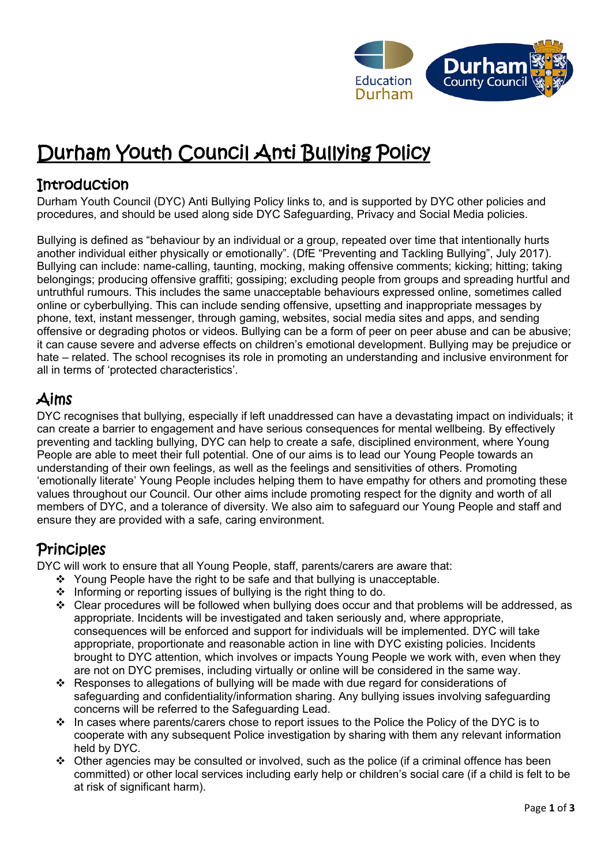

# Durham Youth Council Anti Bullying Policy

### **Introduction**

Durham Youth Council (DYC) Anti Bullying Policy links to, and is supported by DYC other policies and procedures, and should be used along side DYC Safeguarding, Privacy and Social Media policies.

Bullying is defined as "behaviour by an individual or a group, repeated over time that intentionally hurts another individual either physically or emotionally". (DfE "Preventing and Tackling Bullying", July 2017). Bullying can include: name-calling, taunting, mocking, making offensive comments; kicking; hitting; taking belongings; producing offensive graffiti; gossiping; excluding people from groups and spreading hurtful and untruthful rumours. This includes the same unacceptable behaviours expressed online, sometimes called online or cyberbullying. This can include sending offensive, upsetting and inappropriate messages by phone, text, instant messenger, through gaming, websites, social media sites and apps, and sending offensive or degrading photos or videos. Bullying can be a form of peer on peer abuse and can be abusive; it can cause severe and adverse effects on children's emotional development. Bullying may be prejudice or hate – related. The school recognises its role in promoting an understanding and inclusive environment for all in terms of 'protected characteristics'.

## Aims

DYC recognises that bullying, especially if left unaddressed can have a devastating impact on individuals; it can create a barrier to engagement and have serious consequences for mental wellbeing. By effectively preventing and tackling bullying, DYC can help to create a safe, disciplined environment, where Young People are able to meet their full potential. One of our aims is to lead our Young People towards an understanding of their own feelings, as well as the feelings and sensitivities of others. Promoting 'emotionally literate' Young People includes helping them to have empathy for others and promoting these values throughout our Council. Our other aims include promoting respect for the dignity and worth of all members of DYC, and a tolerance of diversity. We also aim to safeguard our Young People and staff and ensure they are provided with a safe, caring environment.

### **Principles**

DYC will work to ensure that all Young People, staff, parents/carers are aware that:

- ❖ Young People have the right to be safe and that bullying is unacceptable.
- ❖ Informing or reporting issues of bullying is the right thing to do.
- ❖ Clear procedures will be followed when bullying does occur and that problems will be addressed, as appropriate. Incidents will be investigated and taken seriously and, where appropriate, consequences will be enforced and support for individuals will be implemented. DYC will take appropriate, proportionate and reasonable action in line with DYC existing policies. Incidents brought to DYC attention, which involves or impacts Young People we work with, even when they are not on DYC premises, including virtually or online will be considered in the same way.
- ❖ Responses to allegations of bullying will be made with due regard for considerations of safeguarding and confidentiality/information sharing. Any bullying issues involving safeguarding concerns will be referred to the Safeguarding Lead.
- $\cdot \cdot$  In cases where parents/carers chose to report issues to the Police the Policy of the DYC is to cooperate with any subsequent Police investigation by sharing with them any relevant information held by DYC.
- ❖ Other agencies may be consulted or involved, such as the police (if a criminal offence has been committed) or other local services including early help or children's social care (if a child is felt to be at risk of significant harm).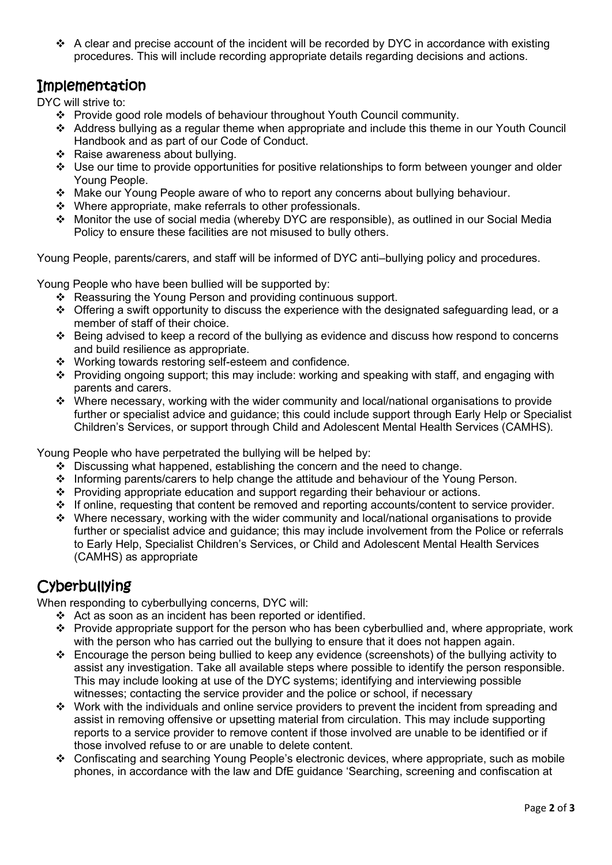❖ A clear and precise account of the incident will be recorded by DYC in accordance with existing procedures. This will include recording appropriate details regarding decisions and actions.

#### Implementation

DYC will strive to:

- ❖ Provide good role models of behaviour throughout Youth Council community.
- ❖ Address bullying as a regular theme when appropriate and include this theme in our Youth Council Handbook and as part of our Code of Conduct.
- ❖ Raise awareness about bullying.
- ❖ Use our time to provide opportunities for positive relationships to form between younger and older Young People.
- ❖ Make our Young People aware of who to report any concerns about bullying behaviour.
- ❖ Where appropriate, make referrals to other professionals.
- ❖ Monitor the use of social media (whereby DYC are responsible), as outlined in our Social Media Policy to ensure these facilities are not misused to bully others.

Young People, parents/carers, and staff will be informed of DYC anti–bullying policy and procedures.

Young People who have been bullied will be supported by:

- ❖ Reassuring the Young Person and providing continuous support.
- ❖ Offering a swift opportunity to discuss the experience with the designated safeguarding lead, or a member of staff of their choice.
- ❖ Being advised to keep a record of the bullying as evidence and discuss how respond to concerns and build resilience as appropriate.
- ❖ Working towards restoring self-esteem and confidence.
- ❖ Providing ongoing support; this may include: working and speaking with staff, and engaging with parents and carers.
- ❖ Where necessary, working with the wider community and local/national organisations to provide further or specialist advice and guidance; this could include support through Early Help or Specialist Children's Services, or support through Child and Adolescent Mental Health Services (CAMHS).

Young People who have perpetrated the bullying will be helped by:

- ❖ Discussing what happened, establishing the concern and the need to change.
- ❖ Informing parents/carers to help change the attitude and behaviour of the Young Person.
- ❖ Providing appropriate education and support regarding their behaviour or actions.
- ❖ If online, requesting that content be removed and reporting accounts/content to service provider.
- ❖ Where necessary, working with the wider community and local/national organisations to provide further or specialist advice and guidance; this may include involvement from the Police or referrals to Early Help, Specialist Children's Services, or Child and Adolescent Mental Health Services (CAMHS) as appropriate

#### **Cyberbullying**

When responding to cyberbullying concerns, DYC will:

- ❖ Act as soon as an incident has been reported or identified.
- ❖ Provide appropriate support for the person who has been cyberbullied and, where appropriate, work with the person who has carried out the bullying to ensure that it does not happen again.
- ❖ Encourage the person being bullied to keep any evidence (screenshots) of the bullying activity to assist any investigation. Take all available steps where possible to identify the person responsible. This may include looking at use of the DYC systems; identifying and interviewing possible witnesses; contacting the service provider and the police or school, if necessary
- ❖ Work with the individuals and online service providers to prevent the incident from spreading and assist in removing offensive or upsetting material from circulation. This may include supporting reports to a service provider to remove content if those involved are unable to be identified or if those involved refuse to or are unable to delete content.
- ❖ Confiscating and searching Young People's electronic devices, where appropriate, such as mobile phones, in accordance with the law and DfE guidance 'Searching, screening and confiscation at